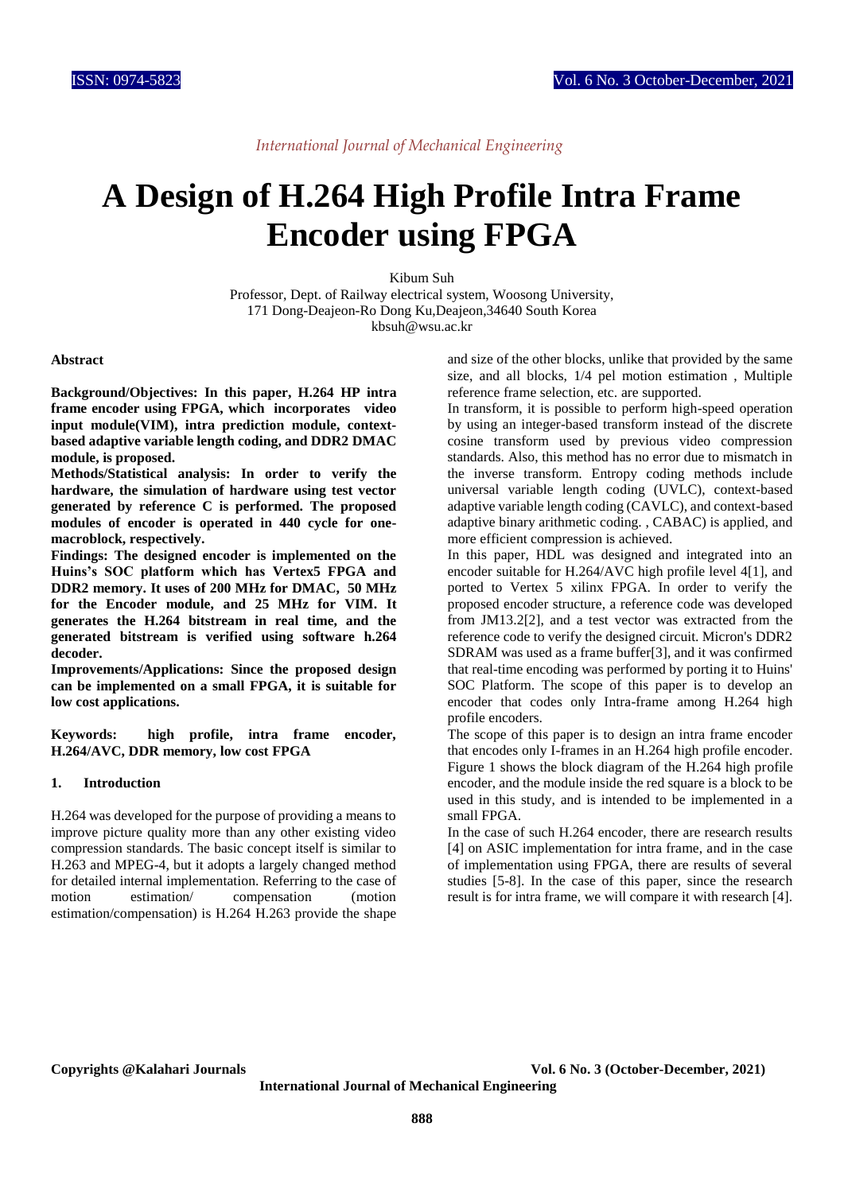# **A Design of H.264 High Profile Intra Frame Encoder using FPGA**

Kibum Suh

Professor, Dept. of Railway electrical system, Woosong University, 171 Dong-Deajeon-Ro Dong Ku,Deajeon,34640 South Korea kbsuh@wsu.ac.kr

#### **Abstract**

**Background/Objectives: In this paper, H.264 HP intra frame encoder using FPGA, which incorporates video input module(VIM), intra prediction module, contextbased adaptive variable length coding, and DDR2 DMAC module, is proposed.**

**Methods/Statistical analysis: In order to verify the hardware, the simulation of hardware using test vector generated by reference C is performed. The proposed modules of encoder is operated in 440 cycle for onemacroblock, respectively.**

**Findings: The designed encoder is implemented on the Huins's SOC platform which has Vertex5 FPGA and DDR2 memory. It uses of 200 MHz for DMAC, 50 MHz for the Encoder module, and 25 MHz for VIM. It generates the H.264 bitstream in real time, and the generated bitstream is verified using software h.264 decoder.** 

**Improvements/Applications: Since the proposed design can be implemented on a small FPGA, it is suitable for low cost applications.**

**Keywords: high profile, intra frame encoder, H.264/AVC, DDR memory, low cost FPGA** 

#### **1. Introduction**

H.264 was developed for the purpose of providing a means to improve picture quality more than any other existing video compression standards. The basic concept itself is similar to H.263 and MPEG-4, but it adopts a largely changed method for detailed internal implementation. Referring to the case of motion estimation/ compensation (motion estimation/compensation) is H.264 H.263 provide the shape

and size of the other blocks, unlike that provided by the same size, and all blocks, 1/4 pel motion estimation , Multiple reference frame selection, etc. are supported.

In transform, it is possible to perform high-speed operation by using an integer-based transform instead of the discrete cosine transform used by previous video compression standards. Also, this method has no error due to mismatch in the inverse transform. Entropy coding methods include universal variable length coding (UVLC), context-based adaptive variable length coding (CAVLC), and context-based adaptive binary arithmetic coding. , CABAC) is applied, and more efficient compression is achieved.

In this paper, HDL was designed and integrated into an encoder suitable for H.264/AVC high profile level 4[1], and ported to Vertex 5 xilinx FPGA. In order to verify the proposed encoder structure, a reference code was developed from JM13.2[2], and a test vector was extracted from the reference code to verify the designed circuit. Micron's DDR2 SDRAM was used as a frame buffer[3], and it was confirmed that real-time encoding was performed by porting it to Huins' SOC Platform. The scope of this paper is to develop an encoder that codes only Intra-frame among H.264 high profile encoders.

The scope of this paper is to design an intra frame encoder that encodes only I-frames in an H.264 high profile encoder. Figure 1 shows the block diagram of the H.264 high profile encoder, and the module inside the red square is a block to be used in this study, and is intended to be implemented in a small FPGA.

In the case of such H.264 encoder, there are research results [4] on ASIC implementation for intra frame, and in the case of implementation using FPGA, there are results of several studies [5-8]. In the case of this paper, since the research result is for intra frame, we will compare it with research [4].

**Copyrights @Kalahari Journals Vol. 6 No. 3 (October-December, 2021)**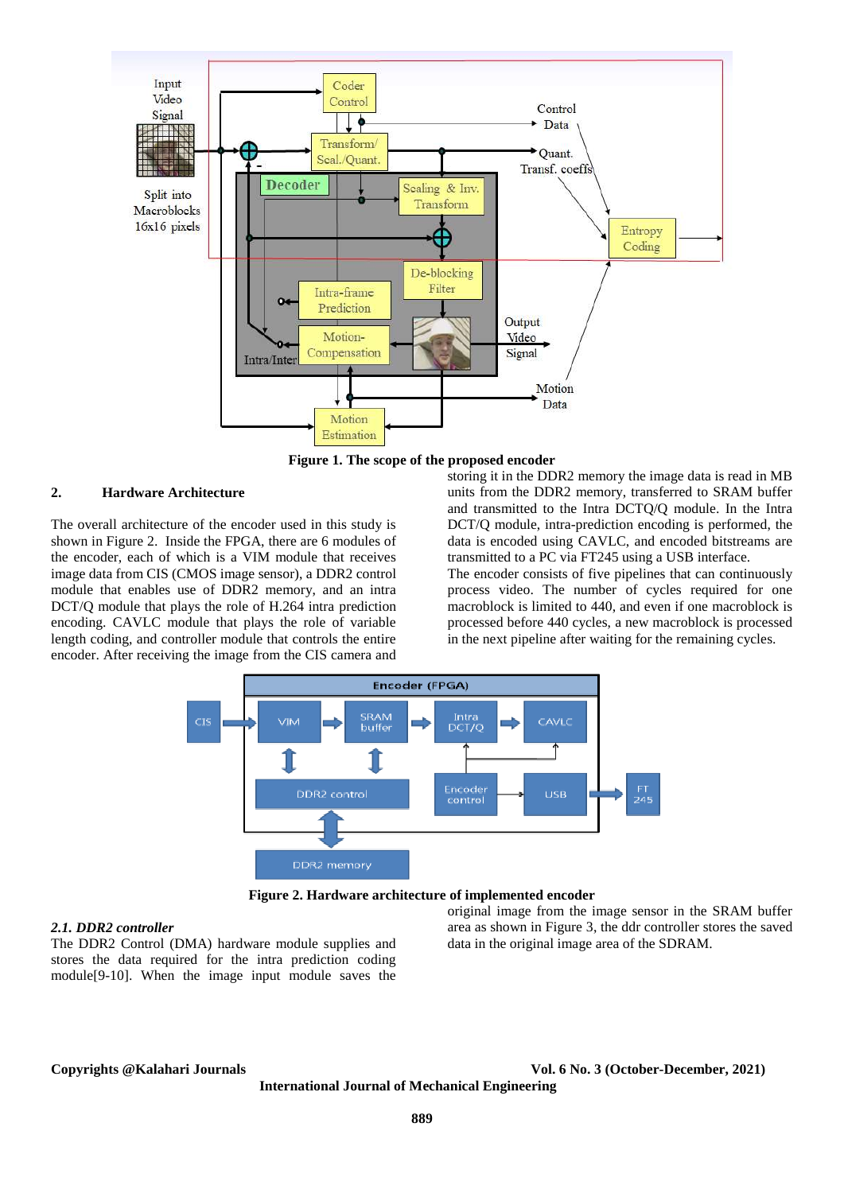

**Figure 1. The scope of the proposed encoder**

### **2. Hardware Architecture**

The overall architecture of the encoder used in this study is shown in Figure 2. Inside the FPGA, there are 6 modules of the encoder, each of which is a VIM module that receives image data from CIS (CMOS image sensor), a DDR2 control module that enables use of DDR2 memory, and an intra DCT/Q module that plays the role of H.264 intra prediction encoding. CAVLC module that plays the role of variable length coding, and controller module that controls the entire encoder. After receiving the image from the CIS camera and storing it in the DDR2 memory the image data is read in MB units from the DDR2 memory, transferred to SRAM buffer and transmitted to the Intra DCTQ/Q module. In the Intra DCT/Q module, intra-prediction encoding is performed, the data is encoded using CAVLC, and encoded bitstreams are transmitted to a PC via FT245 using a USB interface.

The encoder consists of five pipelines that can continuously process video. The number of cycles required for one macroblock is limited to 440, and even if one macroblock is processed before 440 cycles, a new macroblock is processed in the next pipeline after waiting for the remaining cycles.



**Figure 2. Hardware architecture of implemented encoder**

### *2.1. DDR2 controller*

The DDR2 Control (DMA) hardware module supplies and stores the data required for the intra prediction coding module[9-10]. When the image input module saves the

### original image from the image sensor in the SRAM buffer area as shown in Figure 3, the ddr controller stores the saved data in the original image area of the SDRAM.

**Copyrights @Kalahari Journals Vol. 6 No. 3 (October-December, 2021)**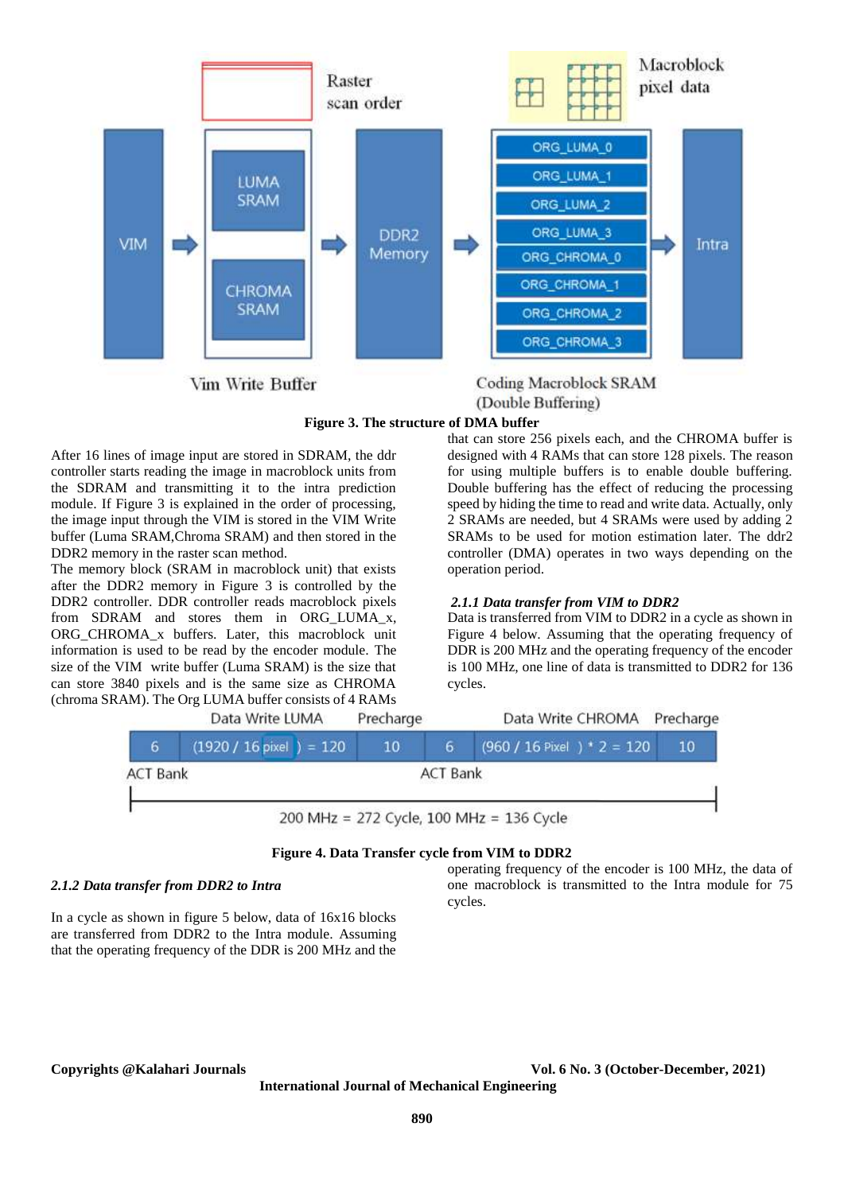

**Coding Macroblock SRAM** (Double Buffering)

### **Figure 3. The structure of DMA buffer**

After 16 lines of image input are stored in SDRAM, the ddr controller starts reading the image in macroblock units from the SDRAM and transmitting it to the intra prediction module. If Figure 3 is explained in the order of processing, the image input through the VIM is stored in the VIM Write buffer (Luma SRAM,Chroma SRAM) and then stored in the DDR2 memory in the raster scan method.

The memory block (SRAM in macroblock unit) that exists after the DDR2 memory in Figure 3 is controlled by the DDR2 controller. DDR controller reads macroblock pixels from SDRAM and stores them in ORG\_LUMA\_x, ORG\_CHROMA\_x buffers. Later, this macroblock unit information is used to be read by the encoder module. The size of the VIM write buffer (Luma SRAM) is the size that can store 3840 pixels and is the same size as CHROMA (chroma SRAM). The Org LUMA buffer consists of 4 RAMs

that can store 256 pixels each, and the CHROMA buffer is designed with 4 RAMs that can store 128 pixels. The reason for using multiple buffers is to enable double buffering. Double buffering has the effect of reducing the processing speed by hiding the time to read and write data. Actually, only 2 SRAMs are needed, but 4 SRAMs were used by adding 2 SRAMs to be used for motion estimation later. The ddr2 controller (DMA) operates in two ways depending on the operation period.

### *2.1.1 Data transfer from VIM to DDR2*

Data is transferred from VIM to DDR2 in a cycle as shown in Figure 4 below. Assuming that the operating frequency of DDR is 200 MHz and the operating frequency of the encoder is 100 MHz, one line of data is transmitted to DDR2 for 136 cycles.



#### **Figure 4. Data Transfer cycle from VIM to DDR2**

#### *2.1.2 Data transfer from DDR2 to Intra*

In a cycle as shown in figure 5 below, data of 16x16 blocks are transferred from DDR2 to the Intra module. Assuming that the operating frequency of the DDR is 200 MHz and the

operating frequency of the encoder is 100 MHz, the data of one macroblock is transmitted to the Intra module for 75 cycles.

**Copyrights @Kalahari Journals Vol. 6 No. 3 (October-December, 2021)**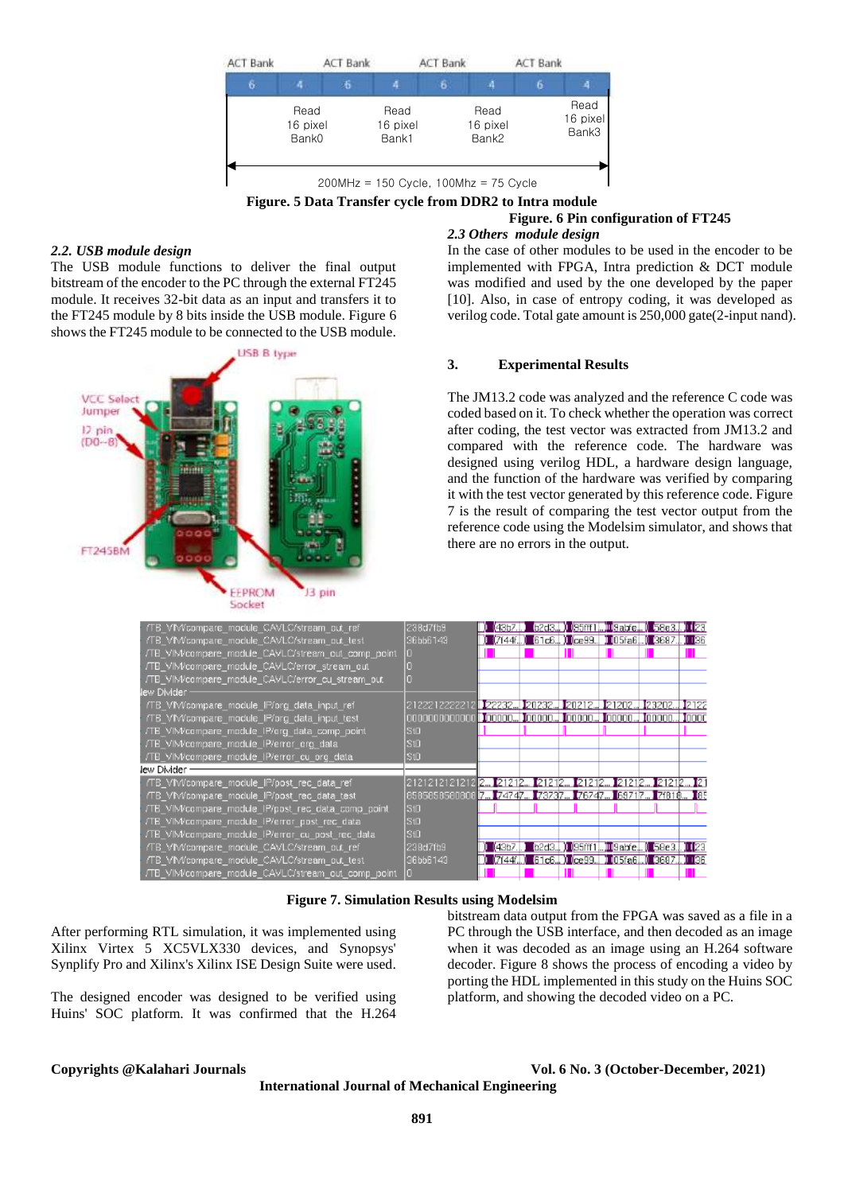



### *2.2. USB module design*

The USB module functions to deliver the final output bitstream of the encoder to the PC through the external FT245 module. It receives 32-bit data as an input and transfers it to the FT245 module by 8 bits inside the USB module. Figure 6 shows the FT245 module to be connected to the USB module.



#### *2.3 Others module design*  In the case of other modules to be used in the encoder to be implemented with FPGA, Intra prediction & DCT module was modified and used by the one developed by the paper [10]. Also, in case of entropy coding, it was developed as verilog code. Total gate amount is 250,000 gate(2-input nand).

#### **3. Experimental Results**

The JM13.2 code was analyzed and the reference C code was coded based on it. To check whether the operation was correct after coding, the test vector was extracted from JM13.2 and compared with the reference code. The hardware was designed using verilog HDL, a hardware design language, and the function of the hardware was verified by comparing it with the test vector generated by this reference code. Figure 7 is the result of comparing the test vector output from the reference code using the Modelsim simulator, and shows that there are no errors in the output.

| TB_VIM/compare_module_CAVLC/stream_out_ref        | 23Bd7fb9                                                              |  | <b>(4357.D) GZGSU) (35661.D) GEOGRAPI GSGSUD (261</b>      |  |
|---------------------------------------------------|-----------------------------------------------------------------------|--|------------------------------------------------------------|--|
| TB VIM/compare module CAVLC/stream out test       | 36bb6143                                                              |  | ) (7744)) GTCS.D) (7899.D) (86788.D) 8897.D (88            |  |
| TB_VIM/compare_module_CAVLC/stream_out_comp_point |                                                                       |  |                                                            |  |
| TB VIM/compare module CAVLC/error stream out      |                                                                       |  |                                                            |  |
| TB_VIM/compare_module_CAVLC/error_cu_stream_out_  |                                                                       |  |                                                            |  |
| w Divider -                                       |                                                                       |  |                                                            |  |
| TB_VIM/compare_module_IP/org_data_input_ref       | 2122212222212 222332. 20232. 20212. 20212. 2202. 23202. 2122          |  |                                                            |  |
| TB_VIM/compare_module_IP/org_data_input_test      |                                                                       |  |                                                            |  |
| TB VIM/compare module IP/org data comp point      | StO                                                                   |  |                                                            |  |
| TB VIM/compare module IP/error org data           | IS10                                                                  |  |                                                            |  |
| TB VIM/compare module IP/error cu org data        | IS10                                                                  |  |                                                            |  |
| ⊭ Di∨ider –                                       |                                                                       |  |                                                            |  |
| TB_VIM/compare_module_IP/post_rec_data_ref        | 2121212121212 <b>211 2121210 2121210 2121210 2121210 2121210 2121</b> |  |                                                            |  |
| TB VIM/compare module IP/post rec data test       | 8585858580808 7. 74747. 78787. 76747. 69717. 6971.                    |  |                                                            |  |
| TB VIM/compare module IP/post rec data comp point | 510                                                                   |  |                                                            |  |
| TE VIM/compare module IP/error post rec data      | StO                                                                   |  |                                                            |  |
| TB_VIM/compare_module_IP/error_cu_post_rec_data_  | SIO.                                                                  |  |                                                            |  |
| TB VIM/compare module CAVLC/stream out ref-       | 23Bd7fb9                                                              |  | ) (4967.) G278.) (95111.) D3868.) S928.) (28               |  |
| TB_VIM/compare_module_CAVLC/stream_out_test       | 36bb6143                                                              |  | O (KEZZAN) (SEKSAND) (GERSAND) (OSKASIN) (OSKAND) (OSKAND) |  |
| TB VIM/compare module CAVLC/stream out comp point |                                                                       |  |                                                            |  |
|                                                   |                                                                       |  |                                                            |  |

**Figure 7. Simulation Results using Modelsim**

After performing RTL simulation, it was implemented using Xilinx Virtex 5 XC5VLX330 devices, and Synopsys' Synplify Pro and Xilinx's Xilinx ISE Design Suite were used.

The designed encoder was designed to be verified using Huins' SOC platform. It was confirmed that the H.264 bitstream data output from the FPGA was saved as a file in a PC through the USB interface, and then decoded as an image when it was decoded as an image using an H.264 software decoder. Figure 8 shows the process of encoding a video by porting the HDL implemented in this study on the Huins SOC platform, and showing the decoded video on a PC.

le

**Copyrights @Kalahari Journals Vol. 6 No. 3 (October-December, 2021)**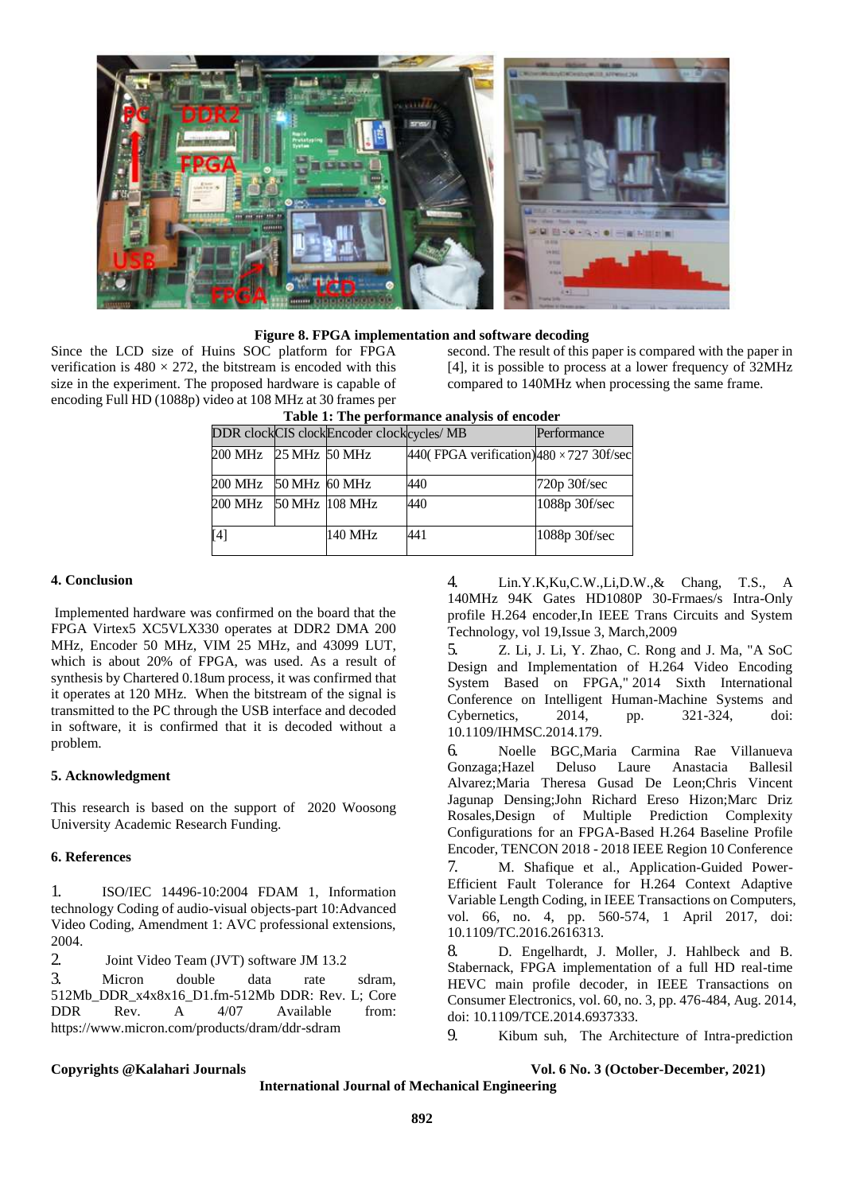

### **Figure 8. FPGA implementation and software decoding**

Since the LCD size of Huins SOC platform for FPGA verification is  $480 \times 272$ , the bitstream is encoded with this size in the experiment. The proposed hardware is capable of encoding Full HD (1088p) video at 108 MHz at 30 frames per

second. The result of this paper is compared with the paper in [4], it is possible to process at a lower frequency of 32MHz compared to 140MHz when processing the same frame.

| Table 1: The performance analysis of encoder |  |                                          |                                                 |               |  |  |  |
|----------------------------------------------|--|------------------------------------------|-------------------------------------------------|---------------|--|--|--|
|                                              |  | DDR clockCIS clockEncoder clockcycles/MB |                                                 | Performance   |  |  |  |
| 200 MHz 25 MHz 50 MHz                        |  |                                          | 440(FPGA verification) $480 \times 727$ 30f/sec |               |  |  |  |
| 200 MHz 50 MHz 60 MHz                        |  |                                          | 440                                             | 720p 30f/sec  |  |  |  |
| 200 MHz 50 MHz 108 MHz                       |  |                                          | 440                                             | 1088p 30f/sec |  |  |  |
| [4]                                          |  | 140 MHz                                  | 441                                             | 1088p 30f/sec |  |  |  |

## **Table 1: The performance analysis of encoder**

#### **4. Conclusion**

Implemented hardware was confirmed on the board that the FPGA Virtex5 XC5VLX330 operates at DDR2 DMA 200 MHz, Encoder 50 MHz, VIM 25 MHz, and 43099 LUT, which is about 20% of FPGA, was used. As a result of synthesis by Chartered 0.18um process, it was confirmed that it operates at 120 MHz. When the bitstream of the signal is transmitted to the PC through the USB interface and decoded in software, it is confirmed that it is decoded without a problem.

#### **5. Acknowledgment**

This research is based on the support of 2020 Woosong University Academic Research Funding.

#### **6. References**

1. ISO/IEC 14496-10:2004 FDAM 1, Information technology Coding of audio-visual objects-part 10:Advanced Video Coding, Amendment 1: AVC professional extensions, 2004.

2. Joint Video Team (JVT) software JM 13.2

3. Micron double data rate sdram, 512Mb\_DDR\_x4x8x16\_D1.fm-512Mb DDR: Rev. L; Core DDR Rev. A 4/07 Available from: https://www.micron.com/products/dram/ddr-sdram

4. Lin.Y.K,Ku,C.W.,Li,D.W.,& Chang, T.S., A 140MHz 94K Gates HD1080P 30-Frmaes/s Intra-Only profile H.264 encoder,In IEEE Trans Circuits and System Technology, vol 19,Issue 3, March,2009

5. Z. Li, J. Li, Y. Zhao, C. Rong and J. Ma, "A SoC Design and Implementation of H.264 Video Encoding System Based on FPGA," 2014 Sixth International Conference on Intelligent Human-Machine Systems and Cybernetics, 2014, pp. 321-324, doi: 10.1109/IHMSC.2014.179.

6. Noelle BGC,Maria Carmina Rae Villanueva Gonzaga;Hazel Deluso Laure Anastacia Ballesil Alvarez;Maria Theresa Gusad De Leon;Chris Vincent Jagunap Densing;John Richard Ereso Hizon;Marc Driz Rosales,Design of Multiple Prediction Complexity Configurations for an FPGA-Based H.264 Baseline Profile Encoder, TENCON 2018 - 2018 IEEE Region 10 Conference

7. M. Shafique et al., Application-Guided Power-Efficient Fault Tolerance for H.264 Context Adaptive Variable Length Coding, in IEEE Transactions on Computers, vol. 66, no. 4, pp. 560-574, 1 April 2017, doi: 10.1109/TC.2016.2616313.

8. D. Engelhardt, J. Moller, J. Hahlbeck and B. Stabernack, FPGA implementation of a full HD real-time HEVC main profile decoder, in IEEE Transactions on Consumer Electronics, vol. 60, no. 3, pp. 476-484, Aug. 2014, doi: 10.1109/TCE.2014.6937333.

9. Kibum suh, The Architecture of Intra-prediction

**Copyrights @Kalahari Journals Vol. 6 No. 3 (October-December, 2021)**